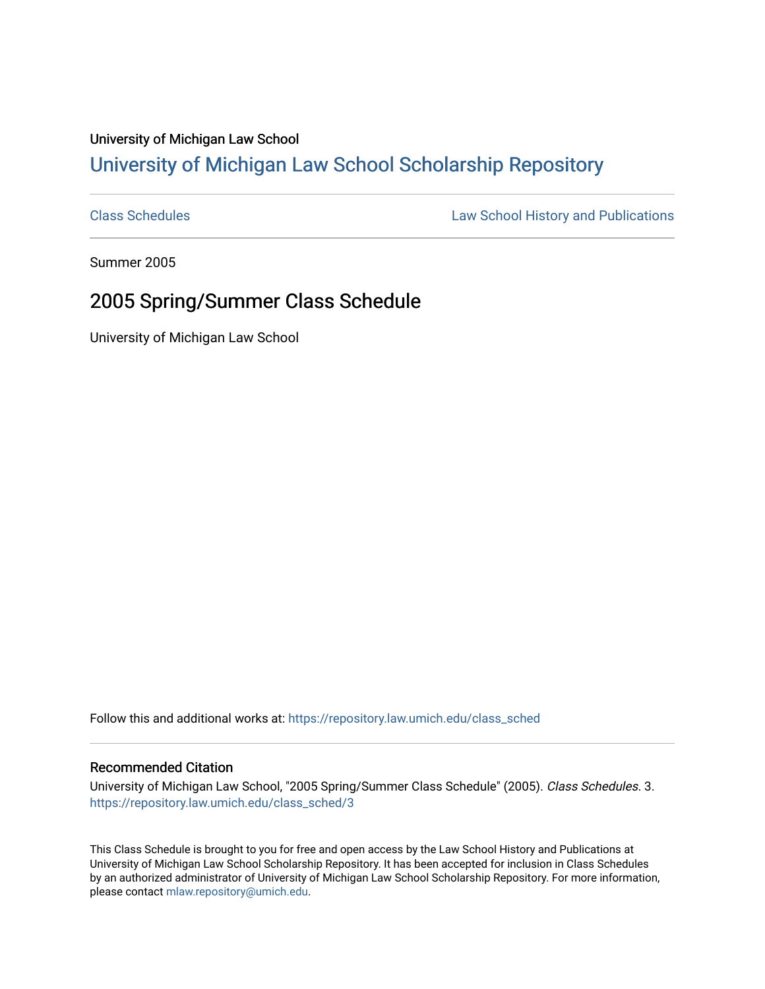## University of Michigan Law School [University of Michigan Law School Scholarship Repository](https://repository.law.umich.edu/)

[Class Schedules](https://repository.law.umich.edu/class_sched) **Law School History and Publications** 

Summer 2005

## 2005 Spring/Summer Class Schedule

University of Michigan Law School

Follow this and additional works at: [https://repository.law.umich.edu/class\\_sched](https://repository.law.umich.edu/class_sched?utm_source=repository.law.umich.edu%2Fclass_sched%2F3&utm_medium=PDF&utm_campaign=PDFCoverPages) 

## Recommended Citation

University of Michigan Law School, "2005 Spring/Summer Class Schedule" (2005). Class Schedules. 3. [https://repository.law.umich.edu/class\\_sched/3](https://repository.law.umich.edu/class_sched/3?utm_source=repository.law.umich.edu%2Fclass_sched%2F3&utm_medium=PDF&utm_campaign=PDFCoverPages) 

This Class Schedule is brought to you for free and open access by the Law School History and Publications at University of Michigan Law School Scholarship Repository. It has been accepted for inclusion in Class Schedules by an authorized administrator of University of Michigan Law School Scholarship Repository. For more information, please contact [mlaw.repository@umich.edu.](mailto:mlaw.repository@umich.edu)